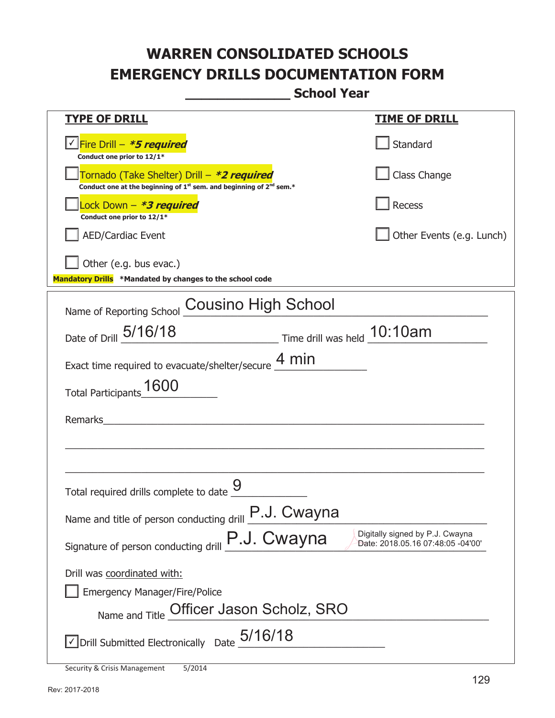**\_\_\_\_\_\_\_\_\_\_\_\_\_ School Year** 

| <u>TYPE OF DRILL</u>                                                                                                                      | <u>TIME OF DRILL</u>                                                 |  |  |  |
|-------------------------------------------------------------------------------------------------------------------------------------------|----------------------------------------------------------------------|--|--|--|
| <u>√ Fire Drill – <i>*5 required</i></u><br>Conduct one prior to 12/1*                                                                    | Standard                                                             |  |  |  |
| Tornado (Take Shelter) Drill – *2 required<br>Conduct one at the beginning of 1 <sup>st</sup> sem. and beginning of 2 <sup>nd</sup> sem.* | Class Change                                                         |  |  |  |
| Lock Down - *3 required<br>Conduct one prior to 12/1*                                                                                     | Recess                                                               |  |  |  |
| <b>AED/Cardiac Event</b>                                                                                                                  | Other Events (e.g. Lunch)                                            |  |  |  |
| Other (e.g. bus evac.)<br>Mandatory Drills *Mandated by changes to the school code                                                        |                                                                      |  |  |  |
| Name of Reporting School Cousino High School                                                                                              |                                                                      |  |  |  |
| Time drill was held 10:10am<br>Date of Drill 5/16/18                                                                                      |                                                                      |  |  |  |
| Exact time required to evacuate/shelter/secure $\underline{4}$ min                                                                        |                                                                      |  |  |  |
| Total Participants_1600                                                                                                                   |                                                                      |  |  |  |
| Remarks                                                                                                                                   |                                                                      |  |  |  |
|                                                                                                                                           |                                                                      |  |  |  |
| Total required drills complete to date                                                                                                    |                                                                      |  |  |  |
| Name and title of person conducting drill <b>P.J. CWAYNA</b>                                                                              |                                                                      |  |  |  |
| P.J. Cwayna<br>Signature of person conducting drill                                                                                       | Digitally signed by P.J. Cwayna<br>Date: 2018.05.16 07:48:05 -04'00' |  |  |  |
| Drill was coordinated with:                                                                                                               |                                                                      |  |  |  |
| <b>Emergency Manager/Fire/Police</b>                                                                                                      |                                                                      |  |  |  |
| Name and Title Officer Jason Scholz, SRO                                                                                                  |                                                                      |  |  |  |
| $\vee$ Drill Submitted Electronically Date $_0$ 5/16/18                                                                                   |                                                                      |  |  |  |

Security & Crisis Management 5/2014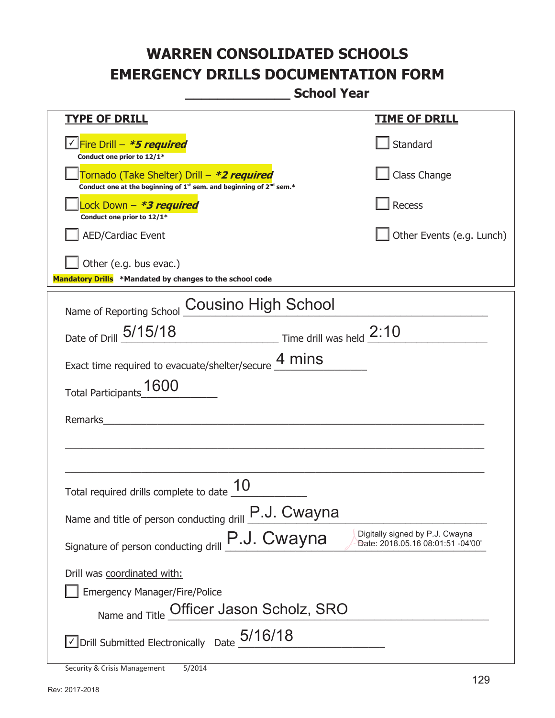**\_\_\_\_\_\_\_\_\_\_\_\_\_ School Year** 

| <u>TYPE OF DRILL</u>                                                                                                                      | <u>TIME OF DRILL</u>                                                 |
|-------------------------------------------------------------------------------------------------------------------------------------------|----------------------------------------------------------------------|
|                                                                                                                                           |                                                                      |
| <u>√ Fire Drill – <i>*5 required</i></u><br>Conduct one prior to 12/1*                                                                    | Standard                                                             |
| Tornado (Take Shelter) Drill – *2 required<br>Conduct one at the beginning of 1 <sup>st</sup> sem. and beginning of 2 <sup>nd</sup> sem.* | Class Change                                                         |
| Lock Down - *3 required<br>Conduct one prior to 12/1*                                                                                     | Recess                                                               |
| <b>AED/Cardiac Event</b>                                                                                                                  | Other Events (e.g. Lunch)                                            |
| $\vert$ Other (e.g. bus evac.)<br>Mandatory Drills *Mandated by changes to the school code                                                |                                                                      |
| Name of Reporting School Cousino High School                                                                                              |                                                                      |
| Date of Drill 5/15/18<br>$\frac{2:10}{2:10}$ Time drill was held $\frac{2:10}{2:10}$                                                      |                                                                      |
| Exact time required to evacuate/shelter/secure 4 mins                                                                                     |                                                                      |
| Total Participants_1600                                                                                                                   |                                                                      |
|                                                                                                                                           |                                                                      |
| Remarks                                                                                                                                   |                                                                      |
|                                                                                                                                           |                                                                      |
|                                                                                                                                           |                                                                      |
| Total required drills complete to date                                                                                                    |                                                                      |
| Name and title of person conducting drill <b>P.J. Cwayna</b>                                                                              |                                                                      |
| P.J. Cwayna<br>Signature of person conducting drill                                                                                       | Digitally signed by P.J. Cwayna<br>Date: 2018.05.16 08:01:51 -04'00' |
| Drill was coordinated with:                                                                                                               |                                                                      |
| <b>Emergency Manager/Fire/Police</b>                                                                                                      |                                                                      |
| Name and Title Officer Jason Scholz, SRO                                                                                                  |                                                                      |
|                                                                                                                                           |                                                                      |
| $\vee$ Drill Submitted Electronically Date $_05/16/18$                                                                                    |                                                                      |

|  |  | Security & Crisis Management | 5/2014 |
|--|--|------------------------------|--------|
|--|--|------------------------------|--------|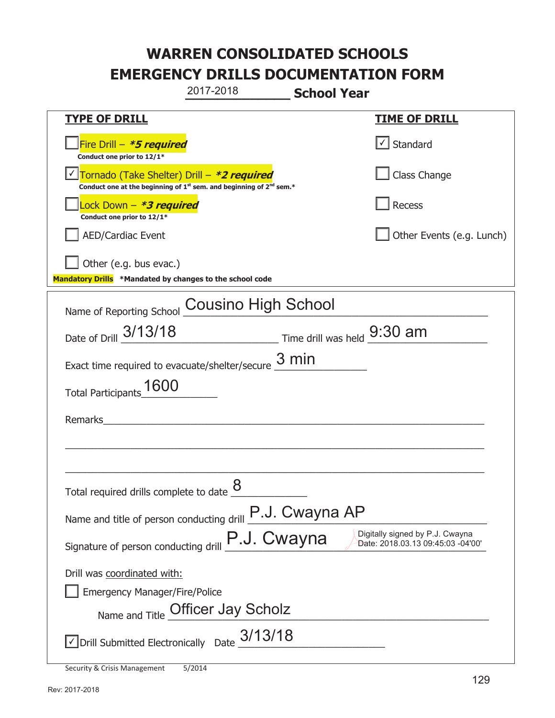**\_\_\_\_\_\_\_\_\_\_\_\_\_ School Year TYPE OF DRILL TIME OF DRILL**  侊Fire Drill – **\*5 required Conduct one prior to 12/1\***   $\boxed{\checkmark}$  Standard 侊Tornado (Take Shelter) Drill – **\*2 required** ✔ **Conduct one at the beginning of 1<sup>st</sup> sem. and beginning of 2<sup>nd</sup> sem.\*** Class Change 侊Lock Down – **\*3 required Conduct one prior to 12/1\* Recess** AED/Cardiac Event **AED/Cardiac Event Network Network Network Network Network Network Network Network Network Network Network Network Network Network Network Network Network Network Net** Other (e.g. bus evac.) **Mandatory Drills \*Mandated by changes to the school code**  Name of Reporting School **Cousino High School** Date of Drill  $\frac{3/13/18}{2}$  Time drill was held  $\frac{9:30 \text{ am}}{2}$ Exact time required to evacuate/shelter/secure  $\frac{3 \text{ min}}{2}$ Total Participants\_1600 Remarks \_\_\_\_\_\_\_\_\_\_\_\_\_\_\_\_\_\_\_\_\_\_\_\_\_\_\_\_\_\_\_\_\_\_\_\_\_\_\_\_\_\_\_\_\_\_\_\_\_\_\_\_\_\_\_\_\_\_\_\_\_\_\_\_\_\_\_\_\_\_\_\_\_\_\_\_\_ \_\_\_\_\_\_\_\_\_\_\_\_\_\_\_\_\_\_\_\_\_\_\_\_\_\_\_\_\_\_\_\_\_\_\_\_\_\_\_\_\_\_\_\_\_\_\_\_\_\_\_\_\_\_\_\_\_\_\_\_\_\_\_\_\_\_\_\_\_\_\_\_\_\_\_\_\_ Total required drills complete to date  $\frac{8}{2}$ Name and title of person conducting drill  $P.J. Cwayna AP$ Signature of person conducting drill **P.J. Cwayna** Digitally signed by P.J. Cwayna Cynature of person conducting drill Drill was coordinated with: ܆ Emergency Manager/Fire/Police Name and Title Officer Jay Scholz Name and Title of  $\overline{O}$  $\sqrt{2}$  Drill Submitted Electronically Date  $\frac{3/13/18}{2}$ 2017-2018 Date: 2018.03.13 09:45:03 -04'00'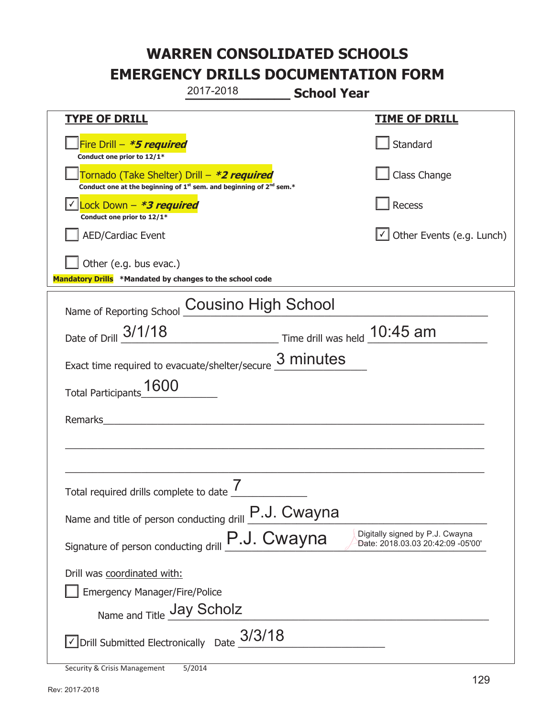**\_\_\_\_\_\_\_\_\_\_\_\_\_ School Year TYPE OF DRILL TIME OF DRILL**  侊Fire Drill – **\*5 required Conduct one prior to 12/1\* Standard** 侊Tornado (Take Shelter) Drill – **\*2 required Conduct one at the beginning of 1<sup>st</sup> sem. and beginning of 2<sup>nd</sup> sem.\*** Class Change 侊Lock Down – **\*3 required** ✔ **Conduct one prior to 12/1\* Recess** □ AED/Cardiac Event and the state of the state of the Second of Table of the Events (e.g. Lunch) Other (e.g. bus evac.) **Mandatory Drills \*Mandated by changes to the school code**  Name of Reporting School **Cousino High School** Date of Drill  $\frac{3/1/18}$  Time drill was held  $\frac{10:45 \text{ am}}{2}$ Exact time required to evacuate/shelter/secure  $\frac{3 \text{ minutes}}{2}$ Total Participants\_1600 Remarks \_\_\_\_\_\_\_\_\_\_\_\_\_\_\_\_\_\_\_\_\_\_\_\_\_\_\_\_\_\_\_\_\_\_\_\_\_\_\_\_\_\_\_\_\_\_\_\_\_\_\_\_\_\_\_\_\_\_\_\_\_\_\_\_\_\_\_\_\_\_\_\_\_\_\_\_\_ \_\_\_\_\_\_\_\_\_\_\_\_\_\_\_\_\_\_\_\_\_\_\_\_\_\_\_\_\_\_\_\_\_\_\_\_\_\_\_\_\_\_\_\_\_\_\_\_\_\_\_\_\_\_\_\_\_\_\_\_\_\_\_\_\_\_\_\_\_\_\_\_\_\_\_\_\_ Total required drills complete to date  $\frac{7}{2}$ Name and title of person conducting drill  $\boxed{\text{P.J. Cwayna}}$ Signature of person conducting drill **P.J. Cwayna** Digitally signed by P.J. Cwayna Cynature of person conducting drill Drill was coordinated with: ܆ Emergency Manager/Fire/Police Name and Title **Jay Scholz**  $\sqrt{2}$  Drill Submitted Electronically Date  $3/3/18$ 2017-2018 Date: 2018.03.03 20:42:09 -05'00'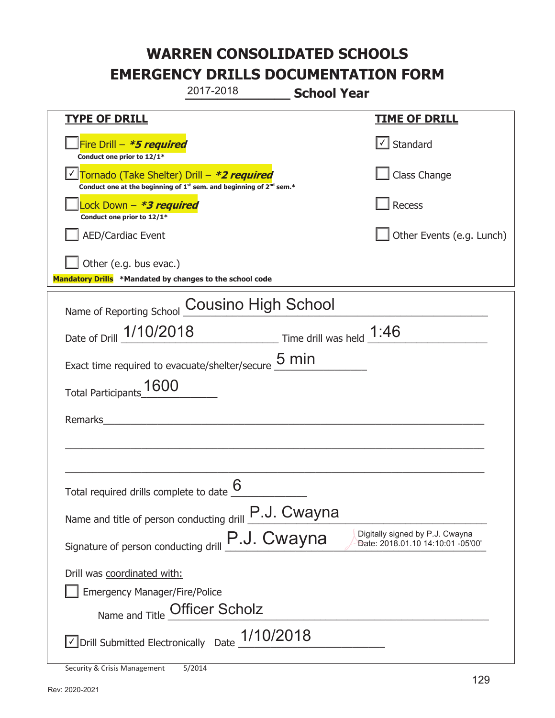**\_\_\_\_\_\_\_\_\_\_\_\_\_ School Year TYPE OF DRILL TIME OF DRILL**  侊Fire Drill – **\*5 required Conduct one prior to 12/1\***   $\boxed{\checkmark}$  Standard 侊Tornado (Take Shelter) Drill – **\*2 required** ✔ **Conduct one at the beginning of 1<sup>st</sup> sem. and beginning of 2<sup>nd</sup> sem.\*** Class Change 侊Lock Down – **\*3 required Conduct one prior to 12/1\* Recess** AED/Cardiac Event **AED/Cardiac Event Network Network Network Network Network Network Network Network Network Network Network Network Network Network Network Network Network Network Net** Other (e.g. bus evac.) **Mandatory Drills \*Mandated by changes to the school code**  Name of Reporting School **Cousino High School** Date of Drill  $\frac{1/10/2018}{2}$  Time drill was held  $\frac{1:46}{2}$ Exact time required to evacuate/shelter/secure  $\frac{5 \text{ min}}{2}$ Total Participants\_1600 Remarks \_\_\_\_\_\_\_\_\_\_\_\_\_\_\_\_\_\_\_\_\_\_\_\_\_\_\_\_\_\_\_\_\_\_\_\_\_\_\_\_\_\_\_\_\_\_\_\_\_\_\_\_\_\_\_\_\_\_\_\_\_\_\_\_\_\_\_\_\_\_\_\_\_\_\_\_\_ \_\_\_\_\_\_\_\_\_\_\_\_\_\_\_\_\_\_\_\_\_\_\_\_\_\_\_\_\_\_\_\_\_\_\_\_\_\_\_\_\_\_\_\_\_\_\_\_\_\_\_\_\_\_\_\_\_\_\_\_\_\_\_\_\_\_\_\_\_\_\_\_\_\_\_\_\_ Total required drills complete to date  $\underline{6}$ Name and title of person conducting drill  $\boxed{\text{P.J. Cwayna}}$ Signature of person conducting drill **P.J. Cwayna** Digitally signed by P.J. Cwayna Cynature of person conducting drill Drill was coordinated with: ܆ Emergency Manager/Fire/Police Name and Title **Officer Scholz**  $\triangledown$  Drill Submitted Electronically Date  $\frac{1/10/2018}{\sqrt{10}}$ 2017-2018 Date: 2018.01.10 14:10:01 -05'00'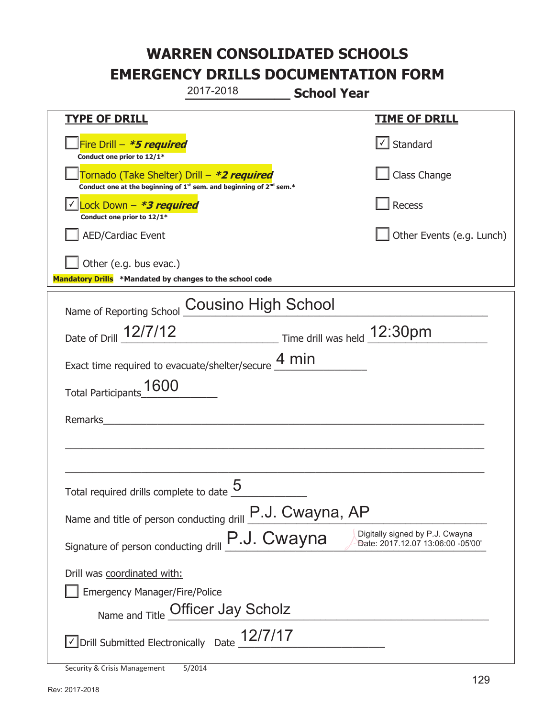**\_\_\_\_\_\_\_\_\_\_\_\_\_ School Year TYPE OF DRILL TIME OF DRILL**  侊Fire Drill – **\*5 required Conduct one prior to 12/1\***   $\boxed{\checkmark}$  Standard 侊Tornado (Take Shelter) Drill – **\*2 required Conduct one at the beginning of 1<sup>st</sup> sem. and beginning of 2<sup>nd</sup> sem.\*** Class Change 侊Lock Down – **\*3 required** ✔ **Conduct one prior to 12/1\* Recess** AED/Cardiac Event **AED/Cardiac Event Network Network Network Network Network Network Network Network Network Network Network Network Network Network Network Network Network Network Net** Other (e.g. bus evac.) **Mandatory Drills \*Mandated by changes to the school code**  Name of Reporting School **Cousino High School** Date of Drill  $\frac{12/7/12}{2}$  Time drill was held  $\frac{12:30 \text{pm}}{2}$ Exact time required to evacuate/shelter/secure  $\frac{4 \text{ min}}{4 \text{ min}}$ Total Participants\_1600 Remarks \_\_\_\_\_\_\_\_\_\_\_\_\_\_\_\_\_\_\_\_\_\_\_\_\_\_\_\_\_\_\_\_\_\_\_\_\_\_\_\_\_\_\_\_\_\_\_\_\_\_\_\_\_\_\_\_\_\_\_\_\_\_\_\_\_\_\_\_\_\_\_\_\_\_\_\_\_ \_\_\_\_\_\_\_\_\_\_\_\_\_\_\_\_\_\_\_\_\_\_\_\_\_\_\_\_\_\_\_\_\_\_\_\_\_\_\_\_\_\_\_\_\_\_\_\_\_\_\_\_\_\_\_\_\_\_\_\_\_\_\_\_\_\_\_\_\_\_\_\_\_\_\_\_\_ Total required drills complete to date  $5$  \_\_\_\_\_\_\_\_\_\_\_\_ Name and title of person conducting drill  $P.J. Cwayna, AP$ Signature of person conducting drill **P.J. Cwayna** Digitally signed by P.J. Cwayna Cynature of person conducting drill Drill was coordinated with: ܆ Emergency Manager/Fire/Police Name and Title Officer Jay Scholz Name and Title of  $\overline{O}$  $\sqrt{2}$  Drill Submitted Electronically Date  $\frac{12/7}{17}$ 2017-2018 Date: 2017.12.07 13:06:00 -05'00'

Security & Crisis Management 5/2014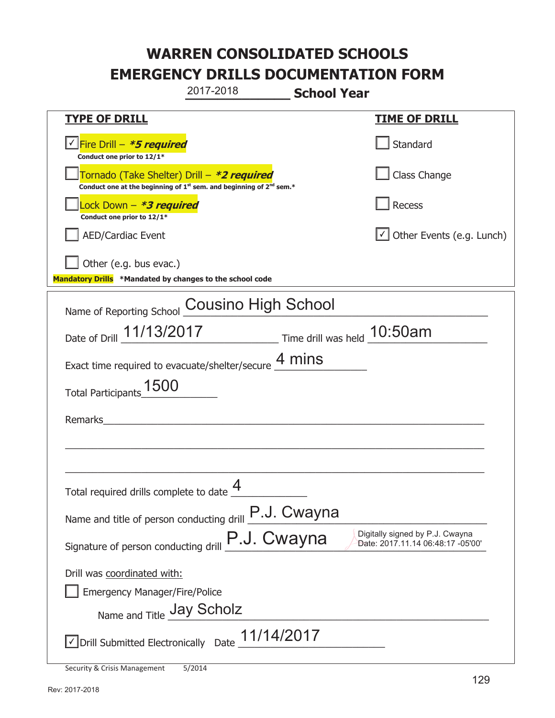**\_\_\_\_\_\_\_\_\_\_\_\_\_ School Year TYPE OF DRILL TIME OF DRILL**  侊Fire Drill – **\*5 required** ✔ **Conduct one prior to 12/1\* Standard** 侊Tornado (Take Shelter) Drill – **\*2 required** Conduct one at the beginning of 1<sup>st</sup> sem. and beginning of 2<sup>nd</sup> sem.\* Class Change 侊Lock Down – **\*3 required Conduct one prior to 12/1\* Recess** □ AED/Cardiac Event and the state of the state of the Second of Table of the Events (e.g. Lunch) Other (e.g. bus evac.) **Mandatory Drills \*Mandated by changes to the school code**  Name of Reporting School **Cousino High School** Date of Drill  $\frac{11/13/2017}{2}$  Time drill was held  $\frac{10:50am}{2}$ Exact time required to evacuate/shelter/secure  $\frac{4 \text{ mins}}{4 \text{ mins}}$ Total Participants\_1500 Remarks \_\_\_\_\_\_\_\_\_\_\_\_\_\_\_\_\_\_\_\_\_\_\_\_\_\_\_\_\_\_\_\_\_\_\_\_\_\_\_\_\_\_\_\_\_\_\_\_\_\_\_\_\_\_\_\_\_\_\_\_\_\_\_\_\_\_\_\_\_\_\_\_\_\_\_\_\_ \_\_\_\_\_\_\_\_\_\_\_\_\_\_\_\_\_\_\_\_\_\_\_\_\_\_\_\_\_\_\_\_\_\_\_\_\_\_\_\_\_\_\_\_\_\_\_\_\_\_\_\_\_\_\_\_\_\_\_\_\_\_\_\_\_\_\_\_\_\_\_\_\_\_\_\_\_ Total required drills complete to date  $\frac{4}{\sqrt{2}}$ Name and title of person conducting drill  $\boxed{\text{P.J. Cwayna}}$ Signature of person conducting drill **P.J. Cwayna** Digitally signed by P.J. Cwayna Cynature of person conducting drill Drill was coordinated with: ܆ Emergency Manager/Fire/Police Name and Title **Jay Scholz**  $\triangledown$  Drill Submitted Electronically Date  $\underline{11/14/2017}$ 2017-2018 Date: 2017.11.14 06:48:17 -05'00'

Security & Crisis Management 5/2014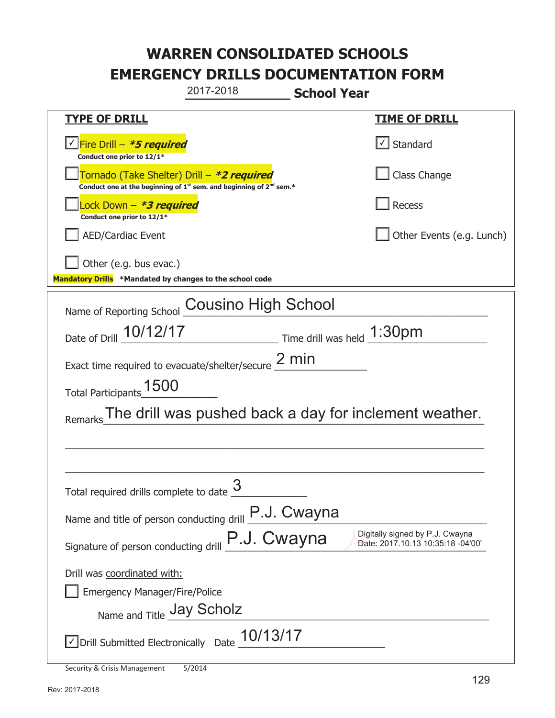**\_\_\_\_\_\_\_\_\_\_\_\_\_ School Year TYPE OF DRILL TIME OF DRILL**  <mark>▽ Fire Drill – *\*5 required* マイクレス マイクレス マイクレス マイクレス マイクレス マイクレス マイクレス マイクレス しゃく</mark> **Conduct one prior to 12/1\***   $\boxed{\sqrt}$  Standard 侊Tornado (Take Shelter) Drill – **\*2 required** Conduct one at the beginning of 1<sup>st</sup> sem. and beginning of 2<sup>nd</sup> sem.\* Class Change 侊Lock Down – **\*3 required Conduct one prior to 12/1\* Recess** AED/Cardiac Event **AED/Cardiac Event Network Network Network Network Network Network Network Network Network Network Network Network Network Network Network Network Network Network Net** Other (e.g. bus evac.) **Mandatory Drills \*Mandated by changes to the school code**  Name of Reporting School **Cousino High School** Date of Drill  $\frac{10/12/17}{2}$  Time drill was held  $\frac{1:30 \text{pm}}{2}$ Exact time required to evacuate/shelter/secure  $\frac{2 \text{ min}}{2}$ Total Participants\_1500 Remarks The drill was pushed back a day for inclement weather. \_\_\_\_\_\_\_\_\_\_\_\_\_\_\_\_\_\_\_\_\_\_\_\_\_\_\_\_\_\_\_\_\_\_\_\_\_\_\_\_\_\_\_\_\_\_\_\_\_\_\_\_\_\_\_\_\_\_\_\_\_\_\_\_\_\_\_\_\_\_\_\_\_\_\_\_\_ \_\_\_\_\_\_\_\_\_\_\_\_\_\_\_\_\_\_\_\_\_\_\_\_\_\_\_\_\_\_\_\_\_\_\_\_\_\_\_\_\_\_\_\_\_\_\_\_\_\_\_\_\_\_\_\_\_\_\_\_\_\_\_\_\_\_\_\_\_\_\_\_\_\_\_\_\_ Total required drills complete to date  $\frac{3}{2}$ Name and title of person conducting drill  $\boxed{\text{P.J. Cwayna}}$ Signature of person conducting drill **P.J. Cwayna** Digitally signed by P.J. Cwayna Cynature of person conducting drill Drill was coordinated with: ܆ Emergency Manager/Fire/Police Name and Title **Jay Scholz**  $\sqrt{2}$  Drill Submitted Electronically Date  $\frac{10/13/17}{2}$ 2017-2018 Date: 2017.10.13 10:35:18 -04'00'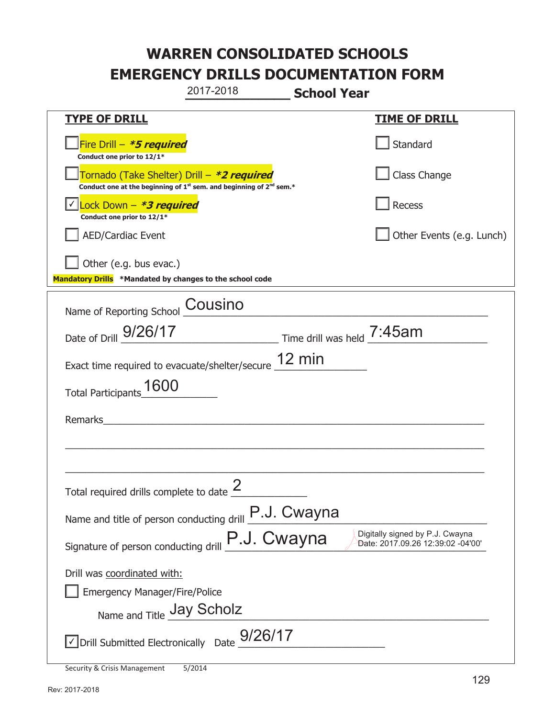**\_\_\_\_\_\_\_\_\_\_\_\_\_ School Year TYPE OF DRILL TIME OF DRILL**  侊Fire Drill – **\*5 required Conduct one prior to 12/1\* Standard** 侊Tornado (Take Shelter) Drill – **\*2 required Conduct one at the beginning of 1<sup>st</sup> sem. and beginning of 2<sup>nd</sup> sem.\*** Class Change 侊Lock Down – **\*3 required** ✔ **Conduct one prior to 12/1\* Recess** AED/Cardiac Event **AED/Cardiac Event Network Network Network Network Network Network Network Network Network Network Network Network Network Network Network Network Network Network Net** Other (e.g. bus evac.) **Mandatory Drills \*Mandated by changes to the school code**  Name of Reporting School **COUSINO** Date of Drill  $\frac{9/26/17}{2}$  Time drill was held  $\frac{7:45am}{2}$ Exact time required to evacuate/shelter/secure  $\frac{12 \text{ min}}{2}$ Total Participants\_1600 Remarks \_\_\_\_\_\_\_\_\_\_\_\_\_\_\_\_\_\_\_\_\_\_\_\_\_\_\_\_\_\_\_\_\_\_\_\_\_\_\_\_\_\_\_\_\_\_\_\_\_\_\_\_\_\_\_\_\_\_\_\_\_\_\_\_\_\_\_\_\_\_\_\_\_\_\_\_\_  $\_$  , and the set of the set of the set of the set of the set of the set of the set of the set of the set of the set of the set of the set of the set of the set of the set of the set of the set of the set of the set of th Total required drills complete to date  $\frac{2}{\sqrt{2}}$ Name and title of person conducting drill  $\boxed{\text{P.J. Cwayna}}$ Signature of person conducting drill **P.J. Cwayna** Digitally signed by P.J. Cwayna Cynature of person conducting drill Drill was coordinated with: ܆ Emergency Manager/Fire/Police Name and Title **Jay Scholz**  $\sqrt{2}$  Drill Submitted Electronically Date  $\frac{9/26/17}{2}$ 2017-2018 Date: 2017.09.26 12:39:02 -04'00'

Security & Crisis Management 5/2014